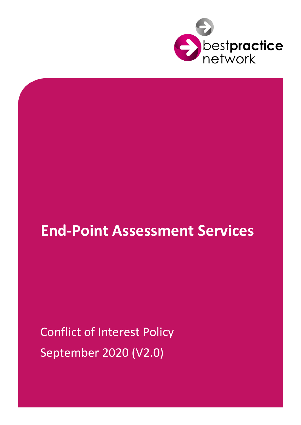

# **End-Point Assessment Services**

Conflict of Interest Policy September 2020 (V2.0)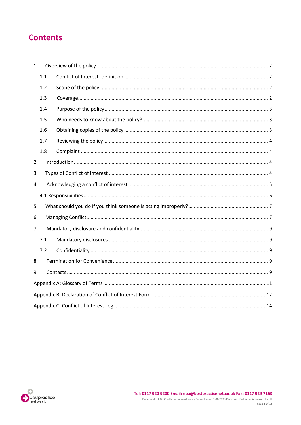## **Contents**

| 1. |     |  |  |  |  |
|----|-----|--|--|--|--|
|    | 1.1 |  |  |  |  |
|    | 1.2 |  |  |  |  |
|    | 1.3 |  |  |  |  |
|    | 1.4 |  |  |  |  |
|    | 1.5 |  |  |  |  |
|    | 1.6 |  |  |  |  |
|    | 1.7 |  |  |  |  |
|    | 1.8 |  |  |  |  |
| 2. |     |  |  |  |  |
| 3. |     |  |  |  |  |
| 4. |     |  |  |  |  |
|    |     |  |  |  |  |
| 5. |     |  |  |  |  |
| 6. |     |  |  |  |  |
| 7. |     |  |  |  |  |
|    | 7.1 |  |  |  |  |
|    | 7.2 |  |  |  |  |
| 8. |     |  |  |  |  |
| 9. |     |  |  |  |  |
|    |     |  |  |  |  |
|    |     |  |  |  |  |
|    |     |  |  |  |  |

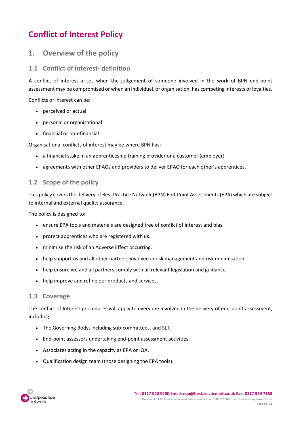## **Conflict of Interest Policy**

## <span id="page-2-0"></span>**1. Overview of the policy**

#### <span id="page-2-1"></span>**1.1 Conflict of Interest- definition**

A conflict of interest arises when the judgement of someone involved in the work of BPN end-point assessment may be compromised or when an individual, or organisation, has competing interests or loyalties.

Conflicts of interest can be:

- perceived or actual
- personal or organisational
- financial or non-financial

Organisational conflicts of interest may be where BPN has:

- a financial stake in an apprenticeship training provider or a customer (employer)
- agreements with other EPAOs and providers to deliver EPAO for each other's apprentices.

### <span id="page-2-2"></span>**1.2 Scope of the policy**

This policy covers the delivery of Best Practice Network (BPN) End-Point Assessments (EPA) which are subject to internal and external quality assurance.

The policy is designed to:

- ensure EPA tools and materials are designed free of conflict of interest and bias.
- protect apprentices who are registered with us.
- minimise the risk of an Adverse Effect occurring.
- help support us and all other partners involved in risk management and risk minimisation.
- help ensure we and all partners comply with all relevant legislation and guidance.
- help improve and refine our products and services.

#### <span id="page-2-3"></span>**1.3 Coverage**

The conflict of Interest procedures will apply to everyone involved in the delivery of end-point assessment, including:

- The Governing Body, including sub-committees, and SLT.
- End-point assessors undertaking end-point assessment activities.
- Associates acting in the capacity as EPA or IQA.
- Qualification design team (those designing the EPA tools).

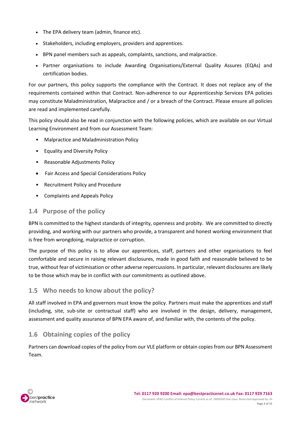- The EPA delivery team (admin, finance etc).
- Stakeholders, including employers, providers and apprentices.
- BPN panel members such as appeals, complaints, sanctions, and malpractice.
- Partner organisations to include Awarding Organisations/External Quality Assures (EQAs) and certification bodies.

For our partners, this policy supports the compliance with the Contract. It does not replace any of the requirements contained within that Contract. Non-adherence to our Apprenticeship Services EPA policies may constitute Maladministration, Malpractice and / or a breach of the Contract. Please ensure all policies are read and implemented carefully.

This policy should also be read in conjunction with the following policies, which are available on our Virtual Learning Environment and from our Assessment Team:

- Malpractice and Maladministration Policy
- Equality and Diversity Policy
- Reasonable Adjustments Policy
- Fair Access and Special Considerations Policy
- Recruitment Policy and Procedure
- Complaints and Appeals Policy

#### <span id="page-3-0"></span>**1.4 Purpose of the policy**

BPN is committed to the highest standards of integrity, openness and probity. We are committed to directly providing, and working with our partners who provide, a transparent and honest working environment that is free from wrongdoing, malpractice or corruption.

The purpose of this policy is to allow our apprentices, staff, partners and other organisations to feel comfortable and secure in raising relevant disclosures, made in good faith and reasonable believed to be true, without fear of victimisation or other adverse repercussions. In particular, relevant disclosures are likely to be those which may be in conflict with our commitments as outlined above.

#### <span id="page-3-1"></span>**1.5 Who needs to know about the policy?**

All staff involved in EPA and governors must know the policy. Partners must make the apprentices and staff (including, site, sub-site or contractual staff) who are involved in the design, delivery, management, assessment and quality assurance of BPN EPA aware of, and familiar with, the contents of the policy.

### <span id="page-3-2"></span>**1.6 Obtaining copies of the policy**

Partners can download copies of the policy from our VLE platform or obtain copies from our BPN Assessment Team.

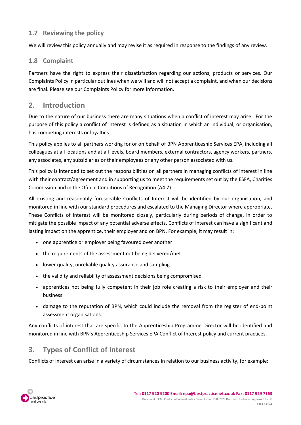## <span id="page-4-0"></span>**1.7 Reviewing the policy**

We will review this policy annually and may revise it as required in response to the findings of any review.

## <span id="page-4-1"></span>**1.8 Complaint**

Partners have the right to express their dissatisfaction regarding our actions, products or services. Our Complaints Policy in particular outlines when we will and will not accept a complaint, and when our decisions are final. Please see our Complaints Policy for more information.

## <span id="page-4-2"></span>**2. Introduction**

Due to the nature of our business there are many situations when a conflict of interest may arise. For the purpose of this policy a conflict of interest is defined as a situation in which an individual, or organisation, has competing interests or loyalties.

This policy applies to all partners working for or on behalf of BPN Apprenticeship Services EPA, including all colleagues at all locations and at all levels, board members, external contractors, agency workers, partners, any associates, any subsidiaries or their employees or any other person associated with us.

This policy is intended to set out the responsibilities on all partners in managing conflicts of interest in line with their contract/agreement and in supporting us to meet the requirements set out by the ESFA, Charities Commission and in the Ofqual Conditions of Recognition (A4.7).

All existing and reasonably foreseeable Conflicts of Interest will be identified by our organisation, and monitored in line with our standard procedures and escalated to the Managing Director where appropriate. These Conflicts of Interest will be monitored closely, particularly during periods of change, in order to mitigate the possible impact of any potential adverse effects. Conflicts of interest can have a significant and lasting impact on the apprentice, their employer and on BPN. For example, it may result in:

- one apprentice or employer being favoured over another
- the requirements of the assessment not being delivered/met
- lower quality, unreliable quality assurance and sampling
- the validity and reliability of assessment decisions being compromised
- apprentices not being fully competent in their job role creating a risk to their employer and their business
- damage to the reputation of BPN, which could include the removal from the register of end-point assessment organisations.

Any conflicts of interest that are specific to the Apprenticeship Programme Director will be identified and monitored in line with BPN's Apprenticeship Services EPA Conflict of Interest policy and current practices.

## <span id="page-4-3"></span>**3. Types of Conflict of Interest**

Conflicts of interest can arise in a variety of circumstances in relation to our business activity, for example:

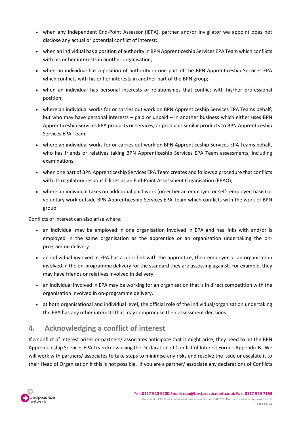- when any Independent End-Point Assessor (IEPA), partner and/or invigilator we appoint does not disclose any actual or potential conflict of interest;
- when an individual has a position of authority in BPN Apprenticeship Services EPA Team which conflicts with his or her interests in another organisation;
- when an individual has a position of authority in one part of the BPN Apprenticeship Services EPA which conflicts with his or her interests in another part of the BPN group;
- when an individual has personal interests or relationships that conflict with his/her professional position;
- where an individual works for or carries out work on BPN Apprenticeship Services EPA Teams behalf, but who may have personal interests – paid or unpaid – in another business which either uses BPN Apprenticeship Services EPA products or services, or produces similar products to BPN Apprenticeship Services EPA Team;
- where an individual works for or carries out work on BPN Apprenticeship Services EPA Teams behalf, who has friends or relatives taking BPN Apprenticeship Services EPA Team assessments, including examinations;
- when one part of BPN Apprenticeship Services EPA Team creates and follows a procedure that conflicts with its regulatory responsibilities as an End-Point Assessment Organisation (EPAO);
- where an individual takes on additional paid work (on either an employed or self- employed basis) or voluntary work outside BPN Apprenticeship Services EPA Team which conflicts with the work of BPN group

Conflicts of interest can also arise where:

- an individual may be employed in one organisation involved in EPA and has links with and/or is employed in the same organisation as the apprentice or an organisation undertaking the onprogramme delivery.
- an individual involved in EPA has a prior link with the apprentice, their employer or an organisation involved in the on-programme delivery for the standard they are assessing against. For example, they may have friends or relatives involved in delivery.
- an individual involved in EPA may be working for an organisation that is in direct competition with the organisation involved in on-programme delivery.
- at both organisational and individual level, the official role of the individual/organisation undertaking the EPA has any other interests that may compromise their assessment decisions.

## <span id="page-5-0"></span>**4. Acknowledging a conflict of interest**

If a conflict of interest arises or partners/ associates anticipate that it might arise, they need to let the BPN Apprenticeship Services EPA Team know using the Declaration of Conflict of Interest Form – Appendix B. We will work with partners/ associates to take steps to minimise any risks and resolve the issue or escalate it to their Head of Organisation if this is not possible. If you are a partner/ associate any declarations of Conflicts

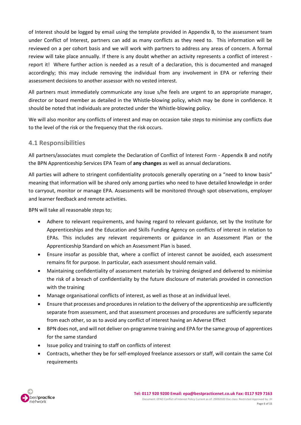of Interest should be logged by email using the template provided in Appendix B, to the assessment team under Conflict of Interest, partners can add as many conflicts as they need to. This information will be reviewed on a per cohort basis and we will work with partners to address any areas of concern. A formal review will take place annually. If there is any doubt whether an activity represents a conflict of interest report it! Where further action is needed as a result of a declaration, this is documented and managed accordingly; this may include removing the individual from any involvement in EPA or referring their assessment decisions to another assessor with no vested interest.

All partners must immediately communicate any issue s/he feels are urgent to an appropriate manager, director or board member as detailed in the Whistle-blowing policy, which may be done in confidence. It should be noted that individuals are protected under the Whistle-blowing policy.

We will also monitor any conflicts of interest and may on occasion take steps to minimise any conflicts due to the level of the risk or the frequency that the risk occurs.

#### <span id="page-6-0"></span>**4.1 Responsibilities**

All partners/associates must complete the Declaration of Conflict of Interest Form - Appendix B and notify the BPN Apprenticeship Services EPA Team of **any changes** as well as annual declarations.

All parties will adhere to stringent confidentiality protocols generally operating on a "need to know basis" meaning that information will be shared only among parties who need to have detailed knowledge in order to carryout, monitor or manage EPA. Assessments will be monitored through spot observations, employer and learner feedback and remote activities.

BPN will take all reasonable steps to;

- Adhere to relevant requirements, and having regard to relevant guidance, set by the Institute for Apprenticeships and the Education and Skills Funding Agency on conflicts of interest in relation to EPAs. This includes any relevant requirements or guidance in an Assessment Plan or the Apprenticeship Standard on which an Assessment Plan is based.
- Ensure insofar as possible that, where a conflict of interest cannot be avoided, each assessment remains fit for purpose. In particular, each assessment should remain valid.
- Maintaining confidentiality of assessment materials by training designed and delivered to minimise the risk of a breach of confidentiality by the future disclosure of materials provided in connection with the training
- Manage organisational conflicts of interest, as well as those at an individual level.
- Ensure that processes and procedures in relation to the delivery of the apprenticeship are sufficiently separate from assessment, and that assessment processes and procedures are sufficiently separate from each other, so as to avoid any conflict of interest having an Adverse Effect
- BPN does not, and will not deliver on-programme training and EPA for the same group of apprentices for the same standard
- Issue policy and training to staff on conflicts of interest
- Contracts, whether they be for self-employed freelance assessors or staff, will contain the same CoI requirements

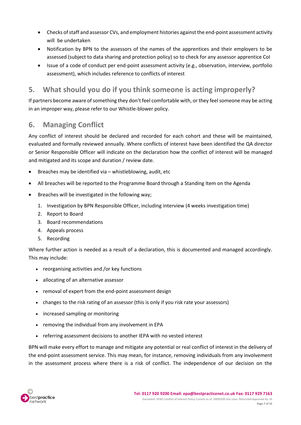- Checks of staff and assessor CVs, and employment histories against the end-point assessment activity will be undertaken
- Notification by BPN to the assessors of the names of the apprentices and their employers to be assessed (subject to data sharing and protection policy) so to check for any assessor apprentice CoI
- Issue of a code of conduct per end-point assessment activity (e.g., observation, interview, portfolio assessment), which includes reference to conflicts of interest

## <span id="page-7-0"></span>**5. What should you do if you think someone is acting improperly?**

If partners become aware of something they don't feel comfortable with, or they feel someone may be acting in an improper way, please refer to our Whistle-blower policy.

## <span id="page-7-1"></span>**6. Managing Conflict**

Any conflict of interest should be declared and recorded for each cohort and these will be maintained, evaluated and formally reviewed annually. Where conflicts of interest have been identified the QA director or Senior Responsible Officer will indicate on the declaration how the conflict of interest will be managed and mitigated and its scope and duration / review date.

- Breaches may be identified via whistleblowing, audit, etc
- All breaches will be reported to the Programme Board through a Standing Item on the Agenda
- Breaches will be investigated in the following way;
	- 1. Investigation by BPN Responsible Officer, including interview (4 weeks investigation time)
	- 2. Report to Board
	- 3. Board recommendations
	- 4. Appeals process
	- 5. Recording

Where further action is needed as a result of a declaration, this is documented and managed accordingly. This may include:

- reorganising activities and /or key functions
- allocating of an alternative assessor
- removal of expert from the end-point assessment design
- changes to the risk rating of an assessor (this is only if you risk rate your assessors)
- increased sampling or monitoring
- removing the individual from any involvement in EPA
- referring assessment decisions to another IEPA with no vested interest

BPN will make every effort to manage and mitigate any potential or real conflict of interest in the delivery of the end-point assessment service. This may mean, for instance, removing individuals from any involvement in the assessment process where there is a risk of conflict. The independence of our decision on the

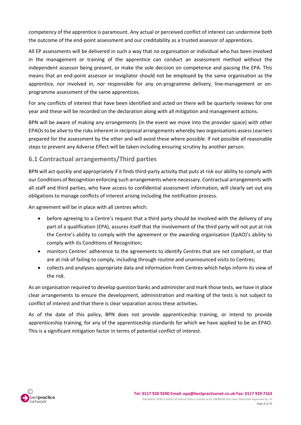competency of the apprentice is paramount. Any actual or perceived conflict of interest can undermine both the outcome of the end-point assessment and our creditability as a trusted assessor of apprentices.

All EP assessments will be delivered in such a way that no organisation or individual who has been involved in the management or training of the apprentice can conduct an assessment method without the independent assessor being present, or make the sole decision on competence and passing the EPA. This means that an end-point assessor or invigilator should not be employed by the same organisation as the apprentice, nor involved in, nor responsible for any on-programme delivery, line-management or onprogramme assessment of the same apprentices.

For any conflicts of interest that have been identified and acted on there will be quarterly reviews for one year and these will be recorded on the declaration along with all mitigation and management actions.

BPN will be aware of making any arrangements (in the event we move into the provider space) with other EPAOs to be alive to the risks inherent in reciprocal arrangements whereby two organisations assess Learners prepared for the assessment by the other and will avoid these where possible. If not possible all reasonable steps to prevent any Adverse Effect will be taken including ensuring scrutiny by another person.

## **6.1 Contractual arrangements/Third parties**

BPN will act quickly and appropriately if it finds third-party activity that puts at risk our ability to comply with our Conditions of Recognition enforcing such arrangements where necessary. Contractual arrangements with all staff and third parties, who have access to confidential assessment information, will clearly set out any obligations to manage conflicts of interest arising including the notification process.

An agreement will be in place with all centres which:

- before agreeing to a Centre's request that a third party should be involved with the delivery of any part of a qualification (EPA), assures itself that the involvement of the third party will not put at risk the Centre's ability to comply with the agreement or the awarding organisation (EpAO)'s ability to comply with its Conditions of Recognition;
- monitors Centres' adherence to the agreements to identify Centres that are not compliant, or that are at risk of failing to comply, including through routine and unannounced visits to Centres;
- collects and analyses appropriate data and information from Centres which helps inform its view of the risk.

As an organisation required to develop question banks and administer and mark those tests, we have in place clear arrangements to ensure the development, administration and marking of the tests is not subject to conflict of interest and that there is clear separation across these activities.

As of the date of this policy, BPN does not provide apprenticeship training, or intend to provide apprenticeship training, for any of the apprenticeship standards for which we have applied to be an EPAO. This is a significant mitigation factor in terms of potential conflict of interest.

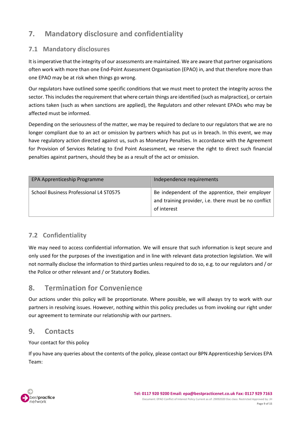## <span id="page-9-0"></span>**7. Mandatory disclosure and confidentiality**

## <span id="page-9-1"></span>**7.1 Mandatory disclosures**

It is imperative that the integrity of our assessments are maintained. We are aware that partner organisations often work with more than one End-Point Assessment Organisation (EPAO) in, and that therefore more than one EPAO may be at risk when things go wrong.

Our regulators have outlined some specific conditions that we must meet to protect the integrity across the sector. This includes the requirement that where certain things are identified (such as malpractice), or certain actions taken (such as when sanctions are applied), the Regulators and other relevant EPAOs who may be affected must be informed.

Depending on the seriousness of the matter, we may be required to declare to our regulators that we are no longer compliant due to an act or omission by partners which has put us in breach. In this event, we may have regulatory action directed against us, such as Monetary Penalties. In accordance with the Agreement for Provision of Services Relating to End Point Assessment, we reserve the right to direct such financial penalties against partners, should they be as a result of the act or omission.

| EPA Apprenticeship Programme           | Independence requirements                                                                                                |
|----------------------------------------|--------------------------------------------------------------------------------------------------------------------------|
| School Business Professional L4 ST0575 | Be independent of the apprentice, their employer<br>and training provider, i.e. there must be no conflict<br>of interest |

## <span id="page-9-2"></span>**7.2 Confidentiality**

We may need to access confidential information. We will ensure that such information is kept secure and only used for the purposes of the investigation and in line with relevant data protection legislation. We will not normally disclose the information to third parties unless required to do so, e.g. to our regulators and / or the Police or other relevant and / or Statutory Bodies.

## <span id="page-9-3"></span>**8. Termination for Convenience**

Our actions under this policy will be proportionate. Where possible, we will always try to work with our partners in resolving issues. However, nothing within this policy precludes us from invoking our right under our agreement to terminate our relationship with our partners.

## <span id="page-9-4"></span>**9. Contacts**

Your contact for this policy

If you have any queries about the contents of the policy, please contact our BPN Apprenticeship Services EPA Team:

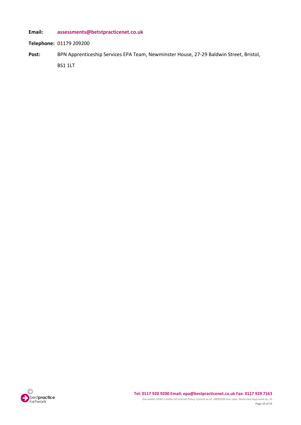**Email: [assessments@betstpracticenet.co.uk](mailto:assessments@betstpracticenet.co.uk)**

**Telephone:** 01179 209200

Post: BPN Apprenticeship Services EPA Team, Newminster House, 27-29 Baldwin Street, Bristol, BS1 1LT

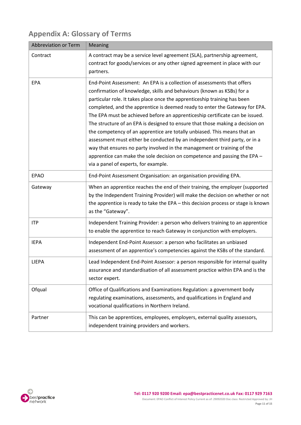| Abbreviation or Term | Meaning                                                                                                                                                                                                                                                                                                                                                                                                                                                                                                                                                                                                                                                                                                                                                                                                                                  |  |  |  |  |
|----------------------|------------------------------------------------------------------------------------------------------------------------------------------------------------------------------------------------------------------------------------------------------------------------------------------------------------------------------------------------------------------------------------------------------------------------------------------------------------------------------------------------------------------------------------------------------------------------------------------------------------------------------------------------------------------------------------------------------------------------------------------------------------------------------------------------------------------------------------------|--|--|--|--|
| Contract             | A contract may be a service level agreement (SLA), partnership agreement,<br>contract for goods/services or any other signed agreement in place with our<br>partners.                                                                                                                                                                                                                                                                                                                                                                                                                                                                                                                                                                                                                                                                    |  |  |  |  |
| EPA                  | End-Point Assessment: An EPA is a collection of assessments that offers<br>confirmation of knowledge, skills and behaviours (known as KSBs) for a<br>particular role. It takes place once the apprenticeship training has been<br>completed, and the apprentice is deemed ready to enter the Gateway for EPA.<br>The EPA must be achieved before an apprenticeship certificate can be issued.<br>The structure of an EPA is designed to ensure that those making a decision on<br>the competency of an apprentice are totally unbiased. This means that an<br>assessment must either be conducted by an independent third party, or in a<br>way that ensures no party involved in the management or training of the<br>apprentice can make the sole decision on competence and passing the EPA -<br>via a panel of experts, for example. |  |  |  |  |
| <b>EPAO</b>          | End-Point Assessment Organisation: an organisation providing EPA.                                                                                                                                                                                                                                                                                                                                                                                                                                                                                                                                                                                                                                                                                                                                                                        |  |  |  |  |
| Gateway              | When an apprentice reaches the end of their training, the employer (supported<br>by the Independent Training Provider) will make the decision on whether or not<br>the apprentice is ready to take the EPA - this decision process or stage is known<br>as the "Gateway".                                                                                                                                                                                                                                                                                                                                                                                                                                                                                                                                                                |  |  |  |  |
| <b>ITP</b>           | Independent Training Provider: a person who delivers training to an apprentice<br>to enable the apprentice to reach Gateway in conjunction with employers.                                                                                                                                                                                                                                                                                                                                                                                                                                                                                                                                                                                                                                                                               |  |  |  |  |
| <b>IEPA</b>          | Independent End-Point Assessor: a person who facilitates an unbiased<br>assessment of an apprentice's competencies against the KSBs of the standard.                                                                                                                                                                                                                                                                                                                                                                                                                                                                                                                                                                                                                                                                                     |  |  |  |  |
| <b>LIEPA</b>         | Lead Independent End-Point Assessor: a person responsible for internal quality<br>assurance and standardisation of all assessment practice within EPA and is the<br>sector expert.                                                                                                                                                                                                                                                                                                                                                                                                                                                                                                                                                                                                                                                       |  |  |  |  |
| Ofqual               | Office of Qualifications and Examinations Regulation: a government body<br>regulating examinations, assessments, and qualifications in England and<br>vocational qualifications in Northern Ireland.                                                                                                                                                                                                                                                                                                                                                                                                                                                                                                                                                                                                                                     |  |  |  |  |
| Partner              | This can be apprentices, employees, employers, external quality assessors,<br>independent training providers and workers.                                                                                                                                                                                                                                                                                                                                                                                                                                                                                                                                                                                                                                                                                                                |  |  |  |  |

## <span id="page-11-0"></span>**Appendix A: Glossary of Terms**

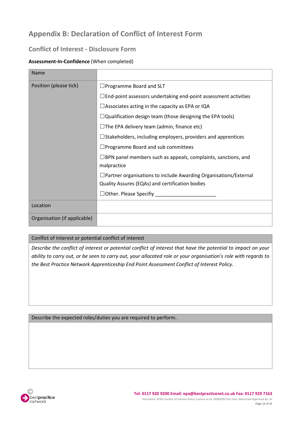## <span id="page-12-0"></span>**Appendix B: Declaration of Conflict of Interest Form**

## **Conflict of Interest - Disclosure Form**

#### **Assessment-In-Confidence** (When completed)

| Name                         |                                                                                     |  |  |  |
|------------------------------|-------------------------------------------------------------------------------------|--|--|--|
| Position (please tick)       | $\Box$ Programme Board and SLT                                                      |  |  |  |
|                              | $\Box$ End-point assessors undertaking end-point assessment activities              |  |  |  |
|                              | $\Box$ Associates acting in the capacity as EPA or IQA                              |  |  |  |
|                              | $\Box$ Qualification design team (those designing the EPA tools)                    |  |  |  |
|                              | $\Box$ The EPA delivery team (admin, finance etc)                                   |  |  |  |
|                              | $\Box$ Stakeholders, including employers, providers and apprentices                 |  |  |  |
|                              | $\Box$ Programme Board and sub committees                                           |  |  |  |
|                              | $\Box$ BPN panel members such as appeals, complaints, sanctions, and<br>malpractice |  |  |  |
|                              | $\Box$ Partner organisations to include Awarding Organisations/External             |  |  |  |
|                              | Quality Assures (EQAs) and certification bodies                                     |  |  |  |
|                              | $\Box$ Other. Please Specifiy                                                       |  |  |  |
| Location                     |                                                                                     |  |  |  |
| Organisation (if applicable) |                                                                                     |  |  |  |

#### Conflict of Interest or potential conflict of interest

*Describe the conflict of interest or potential conflict of interest that have the potential to impact on your ability to carry out, or be seen to carry out, your allocated role or your organisation's role with regards to the Best Practice Network Apprenticeship End Point Assessment Conflict of Interest Policy.*

Describe the expected roles/duties you are required to perform.

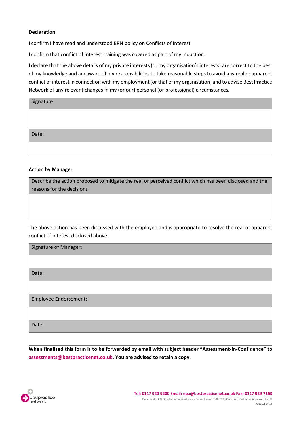#### **Declaration**

I confirm I have read and understood BPN policy on Conflicts of Interest.

I confirm that conflict of interest training was covered as part of my induction.

I declare that the above details of my private interests (or my organisation's interests) are correct to the best of my knowledge and am aware of my responsibilities to take reasonable steps to avoid any real or apparent conflict of interest in connection with my employment (or that of my organisation) and to advise Best Practice Network of any relevant changes in my (or our) personal (or professional) circumstances.

| Signature: |  |
|------------|--|
|            |  |
|            |  |
| Date:      |  |
|            |  |

#### **Action by Manager**

Describe the action proposed to mitigate the real or perceived conflict which has been disclosed and the reasons for the decisions

The above action has been discussed with the employee and is appropriate to resolve the real or apparent conflict of interest disclosed above.

| <b>Signature of Manager:</b> |  |  |  |
|------------------------------|--|--|--|
|                              |  |  |  |
| Date:                        |  |  |  |
|                              |  |  |  |
| Employee Endorsement:        |  |  |  |
|                              |  |  |  |
| Date:                        |  |  |  |
|                              |  |  |  |

**When finalised this form is to be forwarded by email with subject header "Assessment-in-Confidence" to [assessments@bestpracticenet.co.uk.](mailto:assessments@bestpracticenet.co.uk) You are advised to retain a copy.**